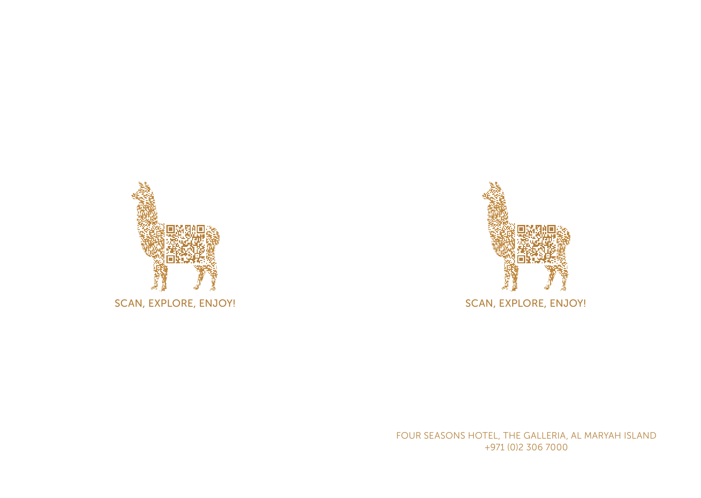

SCAN, EXPLORE, ENJOY!



SCAN, EXPLORE, ENJOY!

FOUR SEASONS HOTEL, THE GALLERIA, AL MARYAH ISLAND +971 (0)2 306 7000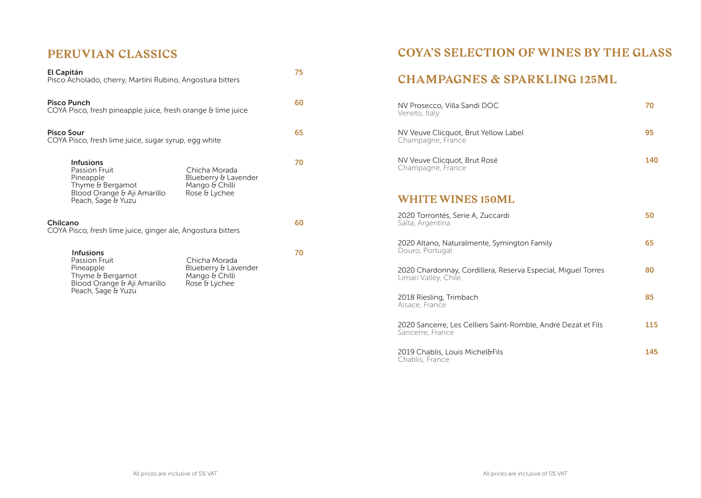#### **PERUVIAN CLASSICS**

| El Capitán<br>Pisco Acholado, cherry, Martini Rubino, Angostura bitters            |                                                                                                                         | 75                                                                       |    |
|------------------------------------------------------------------------------------|-------------------------------------------------------------------------------------------------------------------------|--------------------------------------------------------------------------|----|
| <b>Pisco Punch</b><br>COYA Pisco, fresh pineapple juice, fresh orange & lime juice |                                                                                                                         |                                                                          | 60 |
| Pisco Sour<br>COYA Pisco, fresh lime juice, sugar syrup, egg white                 |                                                                                                                         |                                                                          | 65 |
|                                                                                    | <b>Infusions</b><br>Passion Fruit<br>Pineapple<br>Thyme & Bergamot<br>Blood Orange & Aji Amarillo<br>Peach, Sage & Yuzu | Chicha Morada<br>Blueberry & Lavender<br>Mango & Chilli<br>Rose & Lychee | 70 |
| Chilcano<br>COYA Pisco, fresh lime juice, ginger ale, Angostura bitters            |                                                                                                                         |                                                                          | 60 |
|                                                                                    | <b>Infusions</b><br>Passion Fruit<br>Pineapple<br>Thyme & Bergamot<br>Blood Orange & Aji Amarillo<br>Peach, Sage & Yuzu | Chicha Morada<br>Blueberry & Lavender<br>Mango & Chilli<br>Rose & Lychee | 70 |

## **COYA'S SELECTION OF WINES BY THE GLASS**

#### **CHAMPAGNES & SPARKLING 125ML**

| NV Prosecco, Villa Sandi DOC<br>Veneto, Italy                                        | 70  |
|--------------------------------------------------------------------------------------|-----|
| NV Veuve Clicquot, Brut Yellow Label<br>Champagne, France                            | 95  |
| NV Veuve Clicquot, Brut Rosé<br>Champagne, France                                    | 140 |
| <b>WHITE WINES 150ML</b>                                                             |     |
| 2020 Torrontés, Serie A, Zuccardi<br>Salta, Argentina                                | 50  |
| 2020 Altano, Naturalmente, Symington Family<br>Douro, Portugal                       | 65  |
| 2020 Chardonnay, Cordillera, Reserva Especial, Miquel Torres<br>Limari Valley, Chile | 80  |
| 2018 Riesling, Trimbach<br>Alsace, France                                            | 85  |
| 2020 Sancerre, Les Celliers Saint-Romble, André Dezat et Fils<br>Sancerre, France    | 115 |

2019 Chablis, Louis Michel&Fils **145** Chablis, France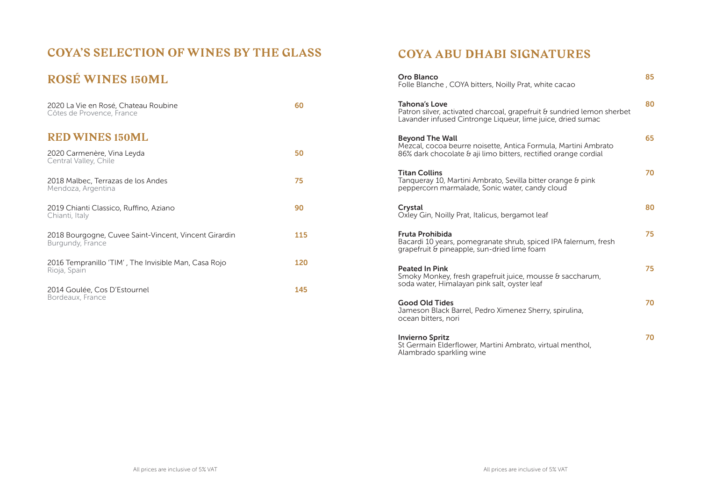## **COYA'S SELECTION OF WINES BY THE GLASS**

# **ROSÉ WINES 150ML**

| 2020 La Vie en Rosé, Chateau Roubine<br>Côtes de Provence, France         | 60  |
|---------------------------------------------------------------------------|-----|
| <b>RED WINES 150ML</b>                                                    |     |
| 2020 Carmenère, Vina Leyda<br>Central Valley, Chile                       | 50  |
| 2018 Malbec, Terrazas de los Andes<br>Mendoza, Argentina                  | 75  |
| 2019 Chianti Classico, Ruffino, Aziano<br>Chianti, Italy                  | 90  |
| 2018 Bourgogne, Cuvee Saint-Vincent, Vincent Girardin<br>Burgundy, France | 115 |
| 2016 Tempranillo 'TIM' , The Invisible Man, Casa Rojo<br>Rioja, Spain     | 120 |
| 2014 Goulée, Cos D'Estournel<br>Bordeaux, France                          | 145 |

### **COYA ABU DHABI SIGNATURES**

| Oro Blanco<br>Folle Blanche, COYA bitters, Noilly Prat, white cacao                                                                                           | 85 |
|---------------------------------------------------------------------------------------------------------------------------------------------------------------|----|
| <b>Tahona's Love</b><br>Patron silver, activated charcoal, grapefruit & sundried lemon sherbet<br>Lavander infused Cintronge Liqueur, lime juice, dried sumac | 80 |
| <b>Beyond The Wall</b><br>Mezcal, cocoa beurre noisette, Antica Formula, Martini Ambrato<br>86% dark chocolate & aji limo bitters, rectified orange cordial   | 65 |
| <b>Titan Collins</b><br>Tangueray 10, Martini Ambrato, Sevilla bitter orange & pink<br>peppercorn marmalade, Sonic water, candy cloud                         | 70 |
| Crystal<br>Oxley Gin, Noilly Prat, Italicus, bergamot leaf                                                                                                    | 80 |
| <b>Fruta Prohibida</b><br>Bacardi 10 years, pomegranate shrub, spiced IPA falernum, fresh<br>grapefruit & pineapple, sun-dried lime foam                      | 75 |
| <b>Peated In Pink</b><br>Smoky Monkey, fresh grapefruit juice, mousse & saccharum,<br>soda water, Himalayan pink salt, oyster leaf                            | 75 |
| <b>Good Old Tides</b><br>Jameson Black Barrel, Pedro Ximenez Sherry, spirulina,<br>ocean bitters, nori                                                        | 70 |
| <b>Invierno Spritz</b>                                                                                                                                        | 70 |

St Germain Elderflower, Martini Ambrato, virtual menthol, Alambrado sparkling wine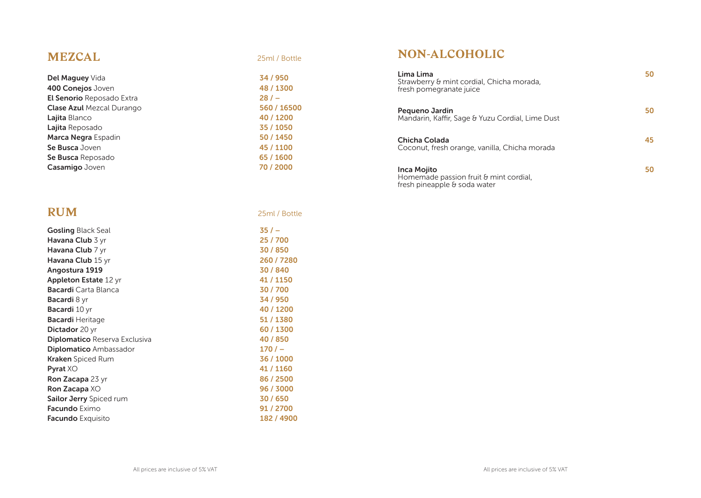### **MEZCAL** 25ml / Bottle

| Del Maguey Vida                  | 34/9 |
|----------------------------------|------|
| 400 Conejos Joven                | 48/1 |
| El Senorio Reposado Extra        | 28/  |
| <b>Clase Azul</b> Mezcal Durango | 560/ |
| Lajita Blanco                    | 40/1 |
| Lajita Reposado                  | 35/1 |
| Marca Negra Espadin              | 50/1 |
| Se Busca Joven                   | 45/1 |
| Se Busca Reposado                | 65/1 |
| Casamigo Joven                   | 70/2 |

## **RUM** 25ml / Bottle

| <b>Gosling</b> Black Seal      | $35/ -$    |
|--------------------------------|------------|
| Havana Club 3 yr               | 25 / 700   |
| Havana Club 7 yr               | 30/850     |
| Havana Club 15 yr              | 260 / 7280 |
| Angostura 1919                 | 30/840     |
| <b>Appleton Estate 12 yr</b>   | 41 / 1150  |
| <b>Bacardi</b> Carta Blanca    | 30/700     |
| <b>Bacardi</b> 8 yr            | 34 / 950   |
| <b>Bacardi</b> 10 yr           | 40 / 1200  |
| <b>Bacardi</b> Heritage        | 51 / 1380  |
| Dictador 20 yr                 | 60 / 1300  |
| Diplomatico Reserva Exclusiva  | 40 / 850   |
| <b>Diplomatico</b> Ambassador  | 170/       |
| <b>Kraken</b> Spiced Rum       | 36 / 1000  |
| <b>Pyrat XO</b>                | 41 / 1160  |
| Ron Zacapa 23 yr               | 86 / 2500  |
| Ron Zacapa XO                  | 96 / 3000  |
| <b>Sailor Jerry</b> Spiced rum | 30/650     |
| <b>Facundo</b> Eximo           | 91 / 2700  |
| <b>Facundo</b> Exquisito       | 182 / 4900 |
|                                |            |

34 / 950 48 / 1300

#### **NON-ALCOHOLIC**

| Lima Lima<br>Strawberry & mint cordial, Chicha morada,<br>fresh pomegranate juice            | 50 |
|----------------------------------------------------------------------------------------------|----|
| Pequeno Jardin<br>Mandarin, Kaffir, Sage & Yuzu Cordial, Lime Dust                           | 50 |
| Chicha Colada<br>Coconut, fresh orange, vanilla, Chicha morada                               | 45 |
| <b>Inca Mojito</b><br>Homemade passion fruit & mint cordial,<br>fresh pineapple & soda water | 50 |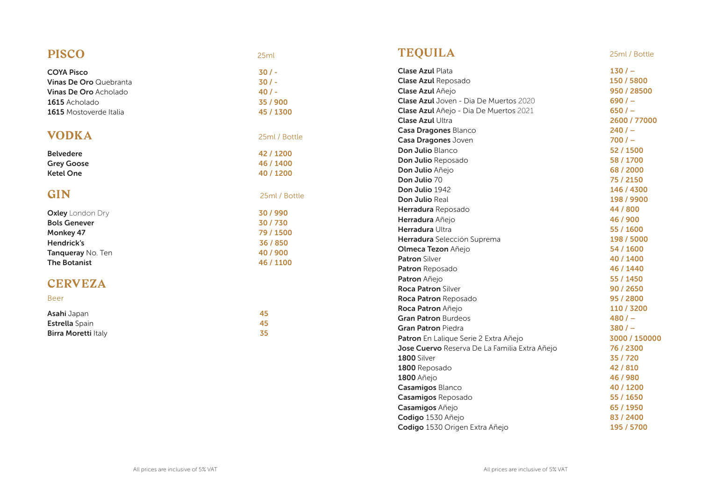## **PISCO** 25ml

| <b>COYA Pisco</b>             | $30/$ -       |
|-------------------------------|---------------|
| <b>Vinas De Oro Quebranta</b> | $30/$ -       |
| Vinas De Oro Acholado         | 40/           |
| 1615 Acholado                 | 35 / 900      |
| 1615 Mostoverde Italia        | 45 / 1300     |
| VODKA                         | 25ml / Bottle |
| <b>Belvedere</b>              | 42 / 1200     |
| <b>Grey Goose</b>             | 46 / 1400     |
| <b>Ketel One</b>              | 40 / 1200     |
| <b>GIN</b>                    | 25ml / Bottle |
| <b>Oxley</b> London Dry       | 30 / 990      |
| <b>Bols Genever</b>           | 30/730        |
| <b>Monkey 47</b>              | 79 / 1500     |
| <b>Hendrick's</b>             | 36 / 850      |
| Tanqueray No. Ten             | 40/900        |
| <b>The Botanist</b>           | 46 / 1100     |
| <b>CERVEZA</b><br><b>Beer</b> |               |
| Asahi Japan                   | 45            |
| Estrella Spain                | 45            |
| <b>Birra Moretti Italy</b>    | 35            |

# **TEQUILA** 25ml / Bottle

| <b>Clase Azul Plata</b>                       | 130/          |
|-----------------------------------------------|---------------|
| <b>Clase Azul Reposado</b>                    | 150 / 5800    |
| Clase Azul Añejo                              | 950 / 28500   |
| <b>Clase Azul</b> Joven - Dia De Muertos 2020 | $690/$ $-$    |
| Clase Azul Añejo - Dia De Muertos 2021        | 650/          |
| <b>Clase Azul Ultra</b>                       | 2600 / 77000  |
| Casa Dragones Blanco                          | 240/          |
| Casa Dragones Joven                           | 700/          |
| Don Julio Blanco                              | 52 / 1500     |
| Don Julio Reposado                            | 58 / 1700     |
| Don Julio Añejo                               | 68 / 2000     |
| Don Julio 70                                  | 75 / 2150     |
| Don Julio 1942                                | 146 / 4300    |
| <b>Don Julio Real</b>                         | 198 / 9900    |
| Herradura Reposado                            | 44 / 800      |
| Herradura Añejo                               | 46 / 900      |
| Herradura Ultra                               | 55 / 1600     |
| Herradura Selección Suprema                   | 198 / 5000    |
| Olmeca Tezon Añejo                            | 54 / 1600     |
| <b>Patron</b> Silver                          | 40 / 1400     |
| <b>Patron</b> Reposado                        | 46 / 1440     |
| Patron Añejo                                  | 55 / 1450     |
| <b>Roca Patron Silver</b>                     | 90 / 2650     |
| Roca Patron Reposado                          | 95 / 2800     |
| Roca Patron Añejo                             | 110 / 3200    |
| <b>Gran Patron Burdeos</b>                    | 480/          |
| Gran Patron Piedra                            | 380/          |
| Patron En Lalique Serie 2 Extra Añejo         | 3000 / 150000 |
| Jose Cuervo Reserva De La Familia Extra Añejo | 76 / 2300     |
| <b>1800 Silver</b>                            | 35 / 720      |
| 1800 Reposado                                 | 42 / 810      |
| 1800 Añejo                                    | 46 / 980      |
| Casamigos Blanco                              | 40 / 1200     |
| Casamigos Reposado                            | 55 / 1650     |
| Casamigos Añejo                               | 65 / 1950     |
| Codigo 1530 Añejo                             | 83 / 2400     |
| Codigo 1530 Origen Extra Añejo                | 195 / 5700    |